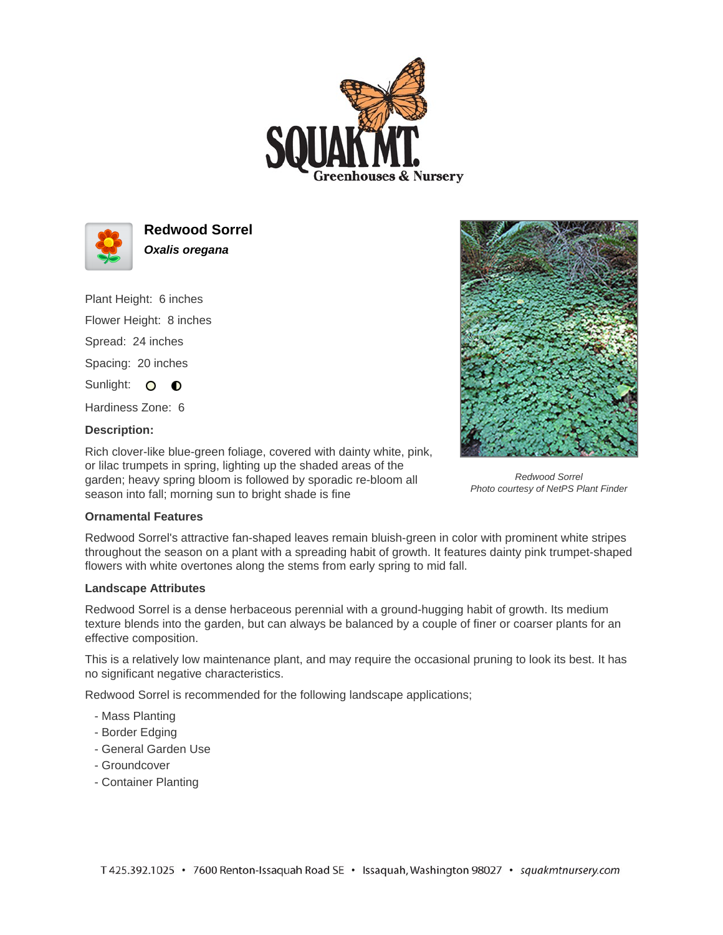



**Redwood Sorrel Oxalis oregana**

Plant Height: 6 inches Flower Height: 8 inches

Spread: 24 inches

Spacing: 20 inches

Sunlight: O O

Hardiness Zone: 6

# **Description:**

Rich clover-like blue-green foliage, covered with dainty white, pink, or lilac trumpets in spring, lighting up the shaded areas of the garden; heavy spring bloom is followed by sporadic re-bloom all season into fall; morning sun to bright shade is fine

### Redwood Sorrel Photo courtesy of NetPS Plant Finder

# **Ornamental Features**

Redwood Sorrel's attractive fan-shaped leaves remain bluish-green in color with prominent white stripes throughout the season on a plant with a spreading habit of growth. It features dainty pink trumpet-shaped flowers with white overtones along the stems from early spring to mid fall.

# **Landscape Attributes**

Redwood Sorrel is a dense herbaceous perennial with a ground-hugging habit of growth. Its medium texture blends into the garden, but can always be balanced by a couple of finer or coarser plants for an effective composition.

This is a relatively low maintenance plant, and may require the occasional pruning to look its best. It has no significant negative characteristics.

Redwood Sorrel is recommended for the following landscape applications;

- Mass Planting
- Border Edging
- General Garden Use
- Groundcover
- Container Planting